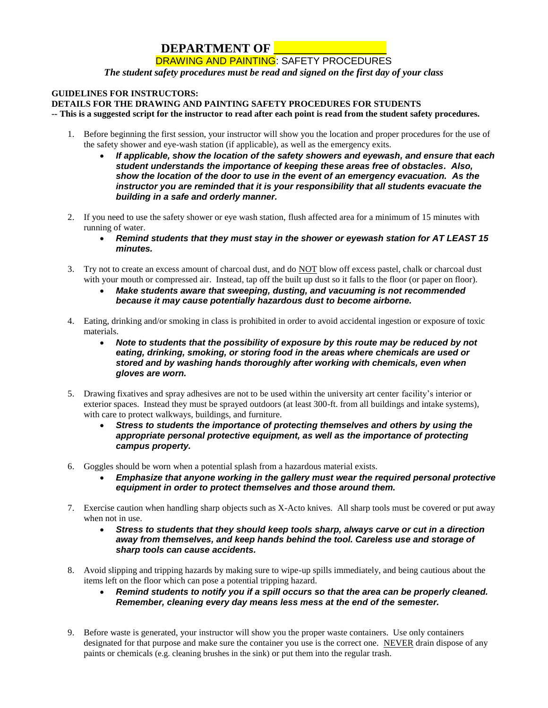## **DEPARTMENT OF \_\_\_\_\_\_\_** DRAWING AND PAINTING: SAFETY PROCEDURES

*The student safety procedures must be read and signed on the first day of your class*

## **GUIDELINES FOR INSTRUCTORS:**

## **DETAILS FOR THE DRAWING AND PAINTING SAFETY PROCEDURES FOR STUDENTS**

**-- This is a suggested script for the instructor to read after each point is read from the student safety procedures.**

- 1. Before beginning the first session, your instructor will show you the location and proper procedures for the use of the safety shower and eye-wash station (if applicable), as well as the emergency exits.
	- *If applicable, show the location of the safety showers and eyewash, and ensure that each student understands the importance of keeping these areas free of obstacles. Also, show the location of the door to use in the event of an emergency evacuation. As the instructor you are reminded that it is your responsibility that all students evacuate the building in a safe and orderly manner.*
- 2. If you need to use the safety shower or eye wash station, flush affected area for a minimum of 15 minutes with running of water.
	- *Remind students that they must stay in the shower or eyewash station for AT LEAST 15 minutes.*
- 3. Try not to create an excess amount of charcoal dust, and do NOT blow off excess pastel, chalk or charcoal dust with your mouth or compressed air. Instead, tap off the built up dust so it falls to the floor (or paper on floor).
	- *Make students aware that sweeping, dusting, and vacuuming is not recommended because it may cause potentially hazardous dust to become airborne.*
- 4. Eating, drinking and/or smoking in class is prohibited in order to avoid accidental ingestion or exposure of toxic materials.
	- *Note to students that the possibility of exposure by this route may be reduced by not eating, drinking, smoking, or storing food in the areas where chemicals are used or stored and by washing hands thoroughly after working with chemicals, even when gloves are worn.*
- 5. Drawing fixatives and spray adhesives are not to be used within the university art center facility's interior or exterior spaces. Instead they must be sprayed outdoors (at least 300-ft. from all buildings and intake systems), with care to protect walkways, buildings, and furniture.
	- *Stress to students the importance of protecting themselves and others by using the appropriate personal protective equipment, as well as the importance of protecting campus property.*
- 6. Goggles should be worn when a potential splash from a hazardous material exists.
	- *Emphasize that anyone working in the gallery must wear the required personal protective equipment in order to protect themselves and those around them.*
- 7. Exercise caution when handling sharp objects such as X-Acto knives. All sharp tools must be covered or put away when not in use.
	- *Stress to students that they should keep tools sharp, always carve or cut in a direction away from themselves, and keep hands behind the tool. Careless use and storage of sharp tools can cause accidents.*
- 8. Avoid slipping and tripping hazards by making sure to wipe-up spills immediately, and being cautious about the items left on the floor which can pose a potential tripping hazard.
	- *Remind students to notify you if a spill occurs so that the area can be properly cleaned. Remember, cleaning every day means less mess at the end of the semester.*
- 9. Before waste is generated, your instructor will show you the proper waste containers. Use only containers designated for that purpose and make sure the container you use is the correct one. NEVER drain dispose of any paints or chemicals (e.g. cleaning brushes in the sink) or put them into the regular trash.